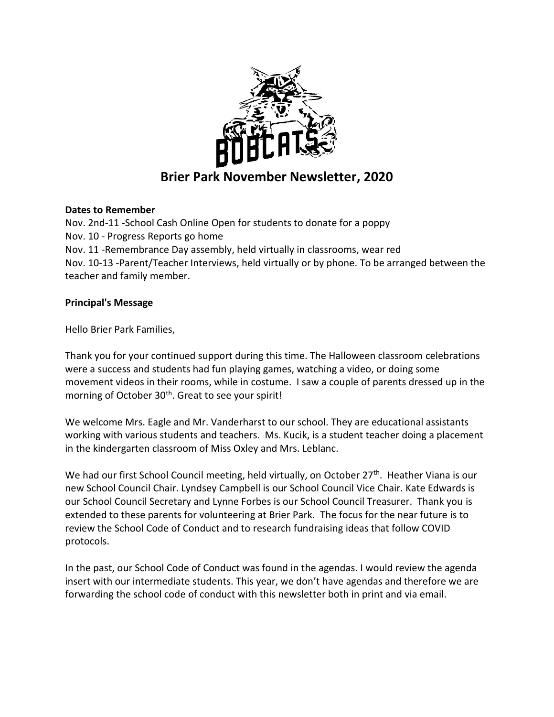

## **Brier Park November Newsletter, 2020**

## **Dates to Remember**

Nov. 2nd-11 -School Cash Online Open for students to donate for a poppy Nov. 10 - Progress Reports go home Nov. 11 -Remembrance Day assembly, held virtually in classrooms, wear red Nov. 10-13 -Parent/Teacher Interviews, held virtually or by phone. To be arranged between the teacher and family member.

## **Principal's Message**

Hello Brier Park Families,

Thank you for your continued support during this time. The Halloween classroom celebrations were a success and students had fun playing games, watching a video, or doing some movement videos in their rooms, while in costume. I saw a couple of parents dressed up in the morning of October 30<sup>th</sup>. Great to see your spirit!

We welcome Mrs. Eagle and Mr. Vanderharst to our school. They are educational assistants working with various students and teachers. Ms. Kucik, is a student teacher doing a placement in the kindergarten classroom of Miss Oxley and Mrs. Leblanc.

We had our first School Council meeting, held virtually, on October 27<sup>th</sup>. Heather Viana is our new School Council Chair. Lyndsey Campbell is our School Council Vice Chair. Kate Edwards is our School Council Secretary and Lynne Forbes is our School Council Treasurer. Thank you is extended to these parents for volunteering at Brier Park. The focus for the near future is to review the School Code of Conduct and to research fundraising ideas that follow COVID protocols.

In the past, our School Code of Conduct was found in the agendas. I would review the agenda insert with our intermediate students. This year, we don't have agendas and therefore we are forwarding the school code of conduct with this newsletter both in print and via email.